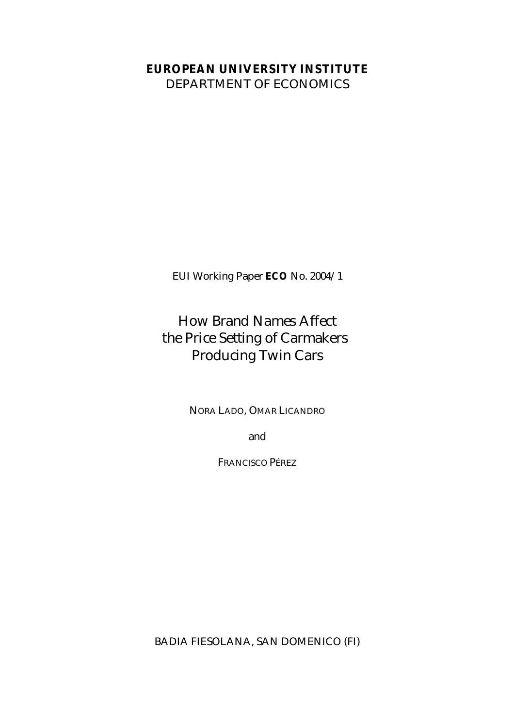#### **EUROPEAN UNIVERSITY INSTITUTE**

DEPARTMENT OF ECONOMICS

EUI Working Paper **ECO** No. 2004/1

## How Brand Names Affect the Price Setting of Carmakers Producing Twin Cars

NORA LADO, OMAR LICANDRO

and

FRANCISCO PÉREZ

BADIA FIESOLANA, SAN DOMENICO (FI)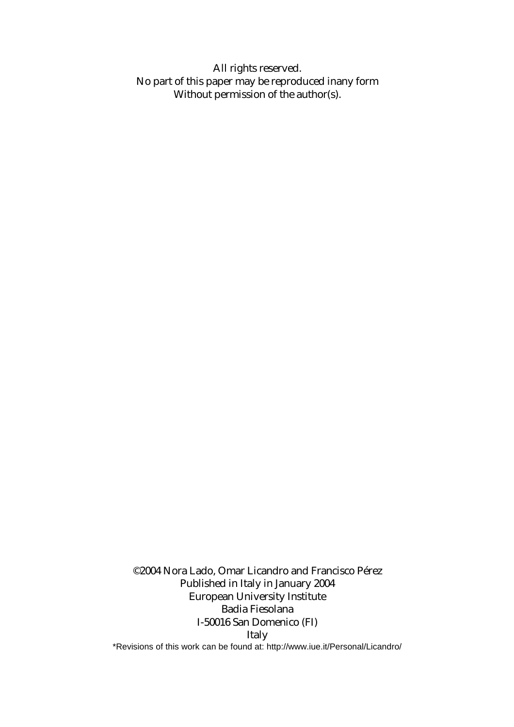All rights reserved. No part of this paper may be reproduced inany form Without permission of the author(s).

©2004 Nora Lado, Omar Licandro and Francisco Pérez Published in Italy in January 2004 European University Institute Badia Fiesolana I-50016 San Domenico (FI) Italy \*Revisions of this work can be found at: http://www.iue.it/Personal/Licandro/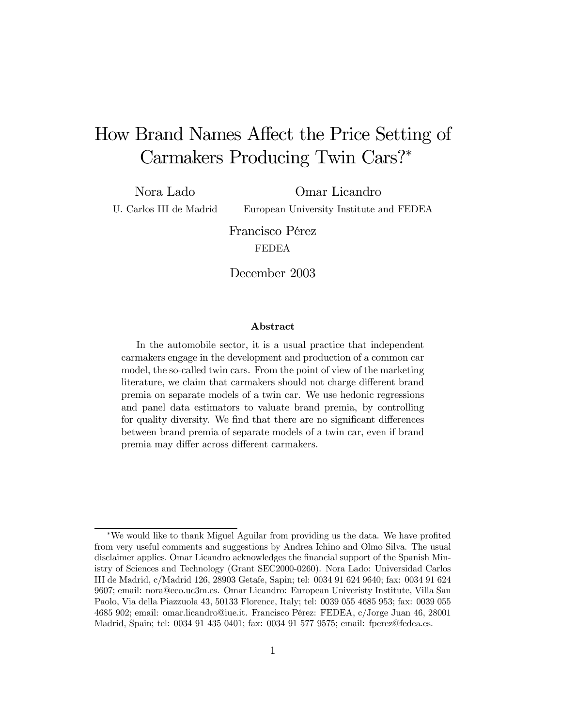# How Brand Names Affect the Price Setting of Carmakers Producing Twin Cars?<sup>∗</sup>

Nora Lado U. Carlos III de Madrid

Omar Licandro European University Institute and FEDEA

Francisco Pérez FEDEA

December 2003

#### Abstract

In the automobile sector, it is a usual practice that independent carmakers engage in the development and production of a common car model, the so-called twin cars. From the point of view of the marketing literature, we claim that carmakers should not charge different brand premia on separate models of a twin car. We use hedonic regressions and panel data estimators to valuate brand premia, by controlling for quality diversity. We find that there are no significant differences between brand premia of separate models of a twin car, even if brand premia may differ across different carmakers.

<sup>∗</sup>We would like to thank Miguel Aguilar from providing us the data. We have profited from very useful comments and suggestions by Andrea Ichino and Olmo Silva. The usual disclaimer applies. Omar Licandro acknowledges the financial support of the Spanish Ministry of Sciences and Technology (Grant SEC2000-0260). Nora Lado: Universidad Carlos III de Madrid, c/Madrid 126, 28903 Getafe, Sapin; tel: 0034 91 624 9640; fax: 0034 91 624 9607; email: nora@eco.uc3m.es. Omar Licandro: European Univeristy Institute, Villa San Paolo, Via della Piazzuola 43, 50133 Florence, Italy; tel: 0039 055 4685 953; fax: 0039 055 4685 902; email: omar.licandro@iue.it. Francisco Pérez: FEDEA, c/Jorge Juan 46, 28001 Madrid, Spain; tel: 0034 91 435 0401; fax: 0034 91 577 9575; email: fperez@fedea.es.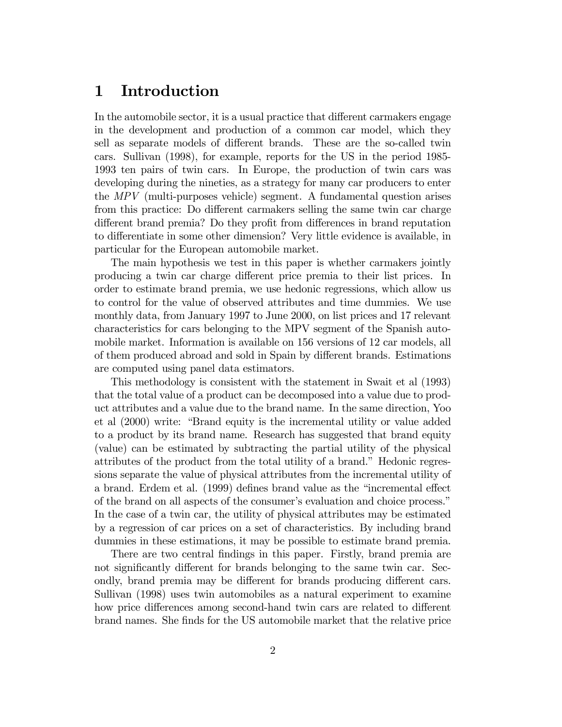#### 1 Introduction

In the automobile sector, it is a usual practice that different carmakers engage in the development and production of a common car model, which they sell as separate models of different brands. These are the so-called twin cars. Sullivan (1998), for example, reports for the US in the period 1985- 1993 ten pairs of twin cars. In Europe, the production of twin cars was developing during the nineties, as a strategy for many car producers to enter the MPV (multi-purposes vehicle) segment. A fundamental question arises from this practice: Do different carmakers selling the same twin car charge different brand premia? Do they profit from differences in brand reputation to differentiate in some other dimension? Very little evidence is available, in particular for the European automobile market.

The main hypothesis we test in this paper is whether carmakers jointly producing a twin car charge different price premia to their list prices. In order to estimate brand premia, we use hedonic regressions, which allow us to control for the value of observed attributes and time dummies. We use monthly data, from January 1997 to June 2000, on list prices and 17 relevant characteristics for cars belonging to the MPV segment of the Spanish automobile market. Information is available on 156 versions of 12 car models, all of them produced abroad and sold in Spain by different brands. Estimations are computed using panel data estimators.

This methodology is consistent with the statement in Swait et al (1993) that the total value of a product can be decomposed into a value due to product attributes and a value due to the brand name. In the same direction, Yoo et al (2000) write: "Brand equity is the incremental utility or value added to a product by its brand name. Research has suggested that brand equity (value) can be estimated by subtracting the partial utility of the physical attributes of the product from the total utility of a brand." Hedonic regressions separate the value of physical attributes from the incremental utility of a brand. Erdem et al. (1999) defines brand value as the "incremental effect of the brand on all aspects of the consumer's evaluation and choice process." In the case of a twin car, the utility of physical attributes may be estimated by a regression of car prices on a set of characteristics. By including brand dummies in these estimations, it may be possible to estimate brand premia.

There are two central findings in this paper. Firstly, brand premia are not significantly different for brands belonging to the same twin car. Secondly, brand premia may be different for brands producing different cars. Sullivan (1998) uses twin automobiles as a natural experiment to examine how price differences among second-hand twin cars are related to different brand names. She finds for the US automobile market that the relative price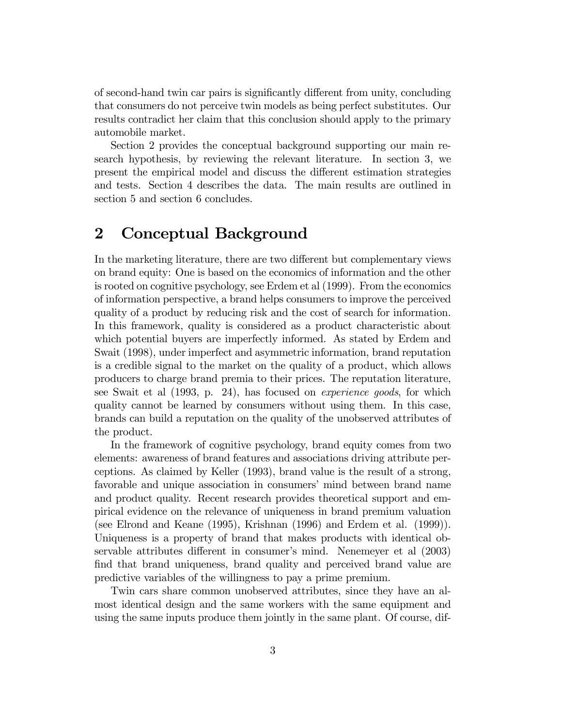of second-hand twin car pairs is significantly different from unity, concluding that consumers do not perceive twin models as being perfect substitutes. Our results contradict her claim that this conclusion should apply to the primary automobile market.

Section 2 provides the conceptual background supporting our main research hypothesis, by reviewing the relevant literature. In section 3, we present the empirical model and discuss the different estimation strategies and tests. Section 4 describes the data. The main results are outlined in section 5 and section 6 concludes.

#### 2 Conceptual Background

In the marketing literature, there are two different but complementary views on brand equity: One is based on the economics of information and the other is rooted on cognitive psychology, see Erdem et al (1999). From the economics of information perspective, a brand helps consumers to improve the perceived quality of a product by reducing risk and the cost of search for information. In this framework, quality is considered as a product characteristic about which potential buyers are imperfectly informed. As stated by Erdem and Swait (1998), under imperfect and asymmetric information, brand reputation is a credible signal to the market on the quality of a product, which allows producers to charge brand premia to their prices. The reputation literature, see Swait et al (1993, p. 24), has focused on experience goods, for which quality cannot be learned by consumers without using them. In this case, brands can build a reputation on the quality of the unobserved attributes of the product.

In the framework of cognitive psychology, brand equity comes from two elements: awareness of brand features and associations driving attribute perceptions. As claimed by Keller (1993), brand value is the result of a strong, favorable and unique association in consumers' mind between brand name and product quality. Recent research provides theoretical support and empirical evidence on the relevance of uniqueness in brand premium valuation (see Elrond and Keane (1995), Krishnan (1996) and Erdem et al. (1999)). Uniqueness is a property of brand that makes products with identical observable attributes different in consumer's mind. Nenemeyer et al (2003) find that brand uniqueness, brand quality and perceived brand value are predictive variables of the willingness to pay a prime premium.

Twin cars share common unobserved attributes, since they have an almost identical design and the same workers with the same equipment and using the same inputs produce them jointly in the same plant. Of course, dif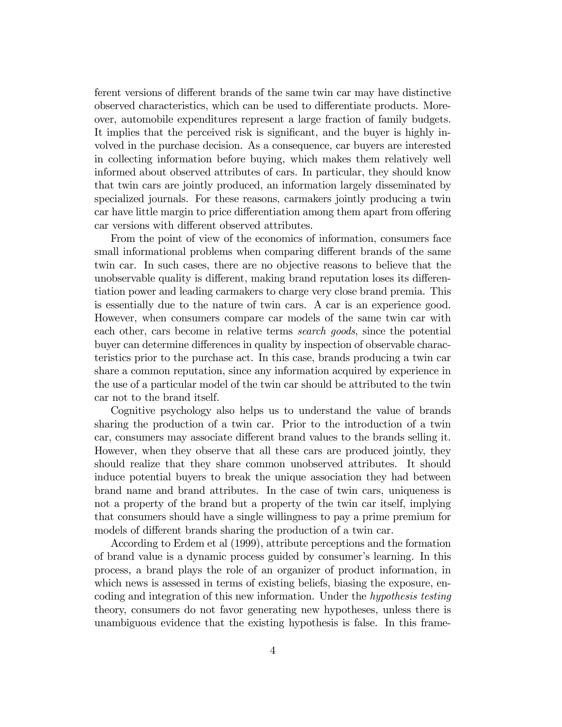ferent versions of different brands of the same twin car may have distinctive observed characteristics, which can be used to differentiate products. Moreover, automobile expenditures represent a large fraction of family budgets. It implies that the perceived risk is significant, and the buyer is highly involved in the purchase decision. As a consequence, car buyers are interested in collecting information before buying, which makes them relatively well informed about observed attributes of cars. In particular, they should know that twin cars are jointly produced, an information largely disseminated by specialized journals. For these reasons, carmakers jointly producing a twin car have little margin to price differentiation among them apart from offering car versions with different observed attributes.

From the point of view of the economics of information, consumers face small informational problems when comparing different brands of the same twin car. In such cases, there are no objective reasons to believe that the unobservable quality is different, making brand reputation loses its differentiation power and leading carmakers to charge very close brand premia. This is essentially due to the nature of twin cars. A car is an experience good. However, when consumers compare car models of the same twin car with each other, cars become in relative terms search goods, since the potential buyer can determine differences in quality by inspection of observable characteristics prior to the purchase act. In this case, brands producing a twin car share a common reputation, since any information acquired by experience in the use of a particular model of the twin car should be attributed to the twin car not to the brand itself.

Cognitive psychology also helps us to understand the value of brands sharing the production of a twin car. Prior to the introduction of a twin car, consumers may associate different brand values to the brands selling it. However, when they observe that all these cars are produced jointly, they should realize that they share common unobserved attributes. It should induce potential buyers to break the unique association they had between brand name and brand attributes. In the case of twin cars, uniqueness is not a property of the brand but a property of the twin car itself, implying that consumers should have a single willingness to pay a prime premium for models of different brands sharing the production of a twin car.

According to Erdem et al (1999), attribute perceptions and the formation of brand value is a dynamic process guided by consumer's learning. In this process, a brand plays the role of an organizer of product information, in which news is assessed in terms of existing beliefs, biasing the exposure, encoding and integration of this new information. Under the hypothesis testing theory, consumers do not favor generating new hypotheses, unless there is unambiguous evidence that the existing hypothesis is false. In this frame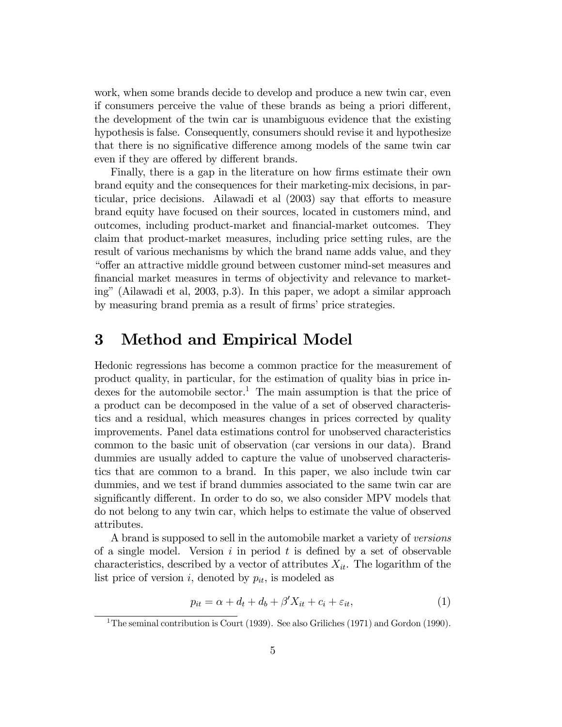work, when some brands decide to develop and produce a new twin car, even if consumers perceive the value of these brands as being a priori different, the development of the twin car is unambiguous evidence that the existing hypothesis is false. Consequently, consumers should revise it and hypothesize that there is no significative difference among models of the same twin car even if they are offered by different brands.

Finally, there is a gap in the literature on how firms estimate their own brand equity and the consequences for their marketing-mix decisions, in particular, price decisions. Ailawadi et al (2003) say that efforts to measure brand equity have focused on their sources, located in customers mind, and outcomes, including product-market and financial-market outcomes. They claim that product-market measures, including price setting rules, are the result of various mechanisms by which the brand name adds value, and they "offer an attractive middle ground between customer mind-set measures and financial market measures in terms of objectivity and relevance to marketing" (Ailawadi et al, 2003, p.3). In this paper, we adopt a similar approach by measuring brand premia as a result of firms' price strategies.

### 3 Method and Empirical Model

Hedonic regressions has become a common practice for the measurement of product quality, in particular, for the estimation of quality bias in price indexes for the automobile sector.<sup>1</sup> The main assumption is that the price of a product can be decomposed in the value of a set of observed characteristics and a residual, which measures changes in prices corrected by quality improvements. Panel data estimations control for unobserved characteristics common to the basic unit of observation (car versions in our data). Brand dummies are usually added to capture the value of unobserved characteristics that are common to a brand. In this paper, we also include twin car dummies, and we test if brand dummies associated to the same twin car are significantly different. In order to do so, we also consider MPV models that do not belong to any twin car, which helps to estimate the value of observed attributes.

A brand is supposed to sell in the automobile market a variety of versions of a single model. Version  $i$  in period  $t$  is defined by a set of observable characteristics, described by a vector of attributes  $X_{it}$ . The logarithm of the list price of version i, denoted by  $p_{it}$ , is modeled as

$$
p_{it} = \alpha + d_t + d_b + \beta' X_{it} + c_i + \varepsilon_{it},\tag{1}
$$

<sup>&</sup>lt;sup>1</sup>The seminal contribution is Court (1939). See also Griliches (1971) and Gordon (1990).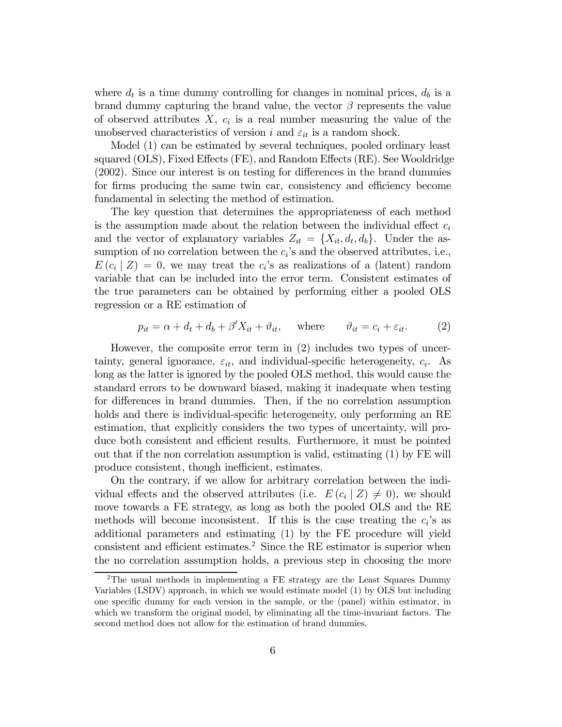where  $d_t$  is a time dummy controlling for changes in nominal prices,  $d_b$  is a brand dummy capturing the brand value, the vector  $\beta$  represents the value of observed attributes  $X$ ,  $c_i$  is a real number measuring the value of the unobserved characteristics of version i and  $\varepsilon_{it}$  is a random shock.

Model (1) can be estimated by several techniques, pooled ordinary least squared (OLS), Fixed Effects (FE), and Random Effects (RE). See Wooldridge (2002). Since our interest is on testing for differences in the brand dummies for firms producing the same twin car, consistency and efficiency become fundamental in selecting the method of estimation.

The key question that determines the appropriateness of each method is the assumption made about the relation between the individual effect  $c_i$ and the vector of explanatory variables  $Z_{it} = \{X_{it}, d_t, d_b\}$ . Under the assumption of no correlation between the  $c_i$ 's and the observed attributes, i.e.,  $E(c_i | Z) = 0$ , we may treat the c<sub>i</sub>'s as realizations of a (latent) random variable that can be included into the error term. Consistent estimates of the true parameters can be obtained by performing either a pooled OLS regression or a RE estimation of

$$
p_{it} = \alpha + d_t + d_b + \beta' X_{it} + \vartheta_{it}, \quad \text{where} \quad \vartheta_{it} = c_i + \varepsilon_{it}. \tag{2}
$$

However, the composite error term in (2) includes two types of uncertainty, general ignorance,  $\varepsilon_{it}$ , and individual-specific heterogeneity,  $c_i$ . As long as the latter is ignored by the pooled OLS method, this would cause the standard errors to be downward biased, making it inadequate when testing for differences in brand dummies. Then, if the no correlation assumption holds and there is individual-specific heterogeneity, only performing an RE estimation, that explicitly considers the two types of uncertainty, will produce both consistent and efficient results. Furthermore, it must be pointed out that if the non correlation assumption is valid, estimating (1) by FE will produce consistent, though inefficient, estimates.

On the contrary, if we allow for arbitrary correlation between the individual effects and the observed attributes (i.e.  $E(c_i | Z) \neq 0$ ), we should move towards a FE strategy, as long as both the pooled OLS and the RE methods will become inconsistent. If this is the case treating the  $c_i$ 's as additional parameters and estimating (1) by the FE procedure will yield consistent and efficient estimates.2 Since the RE estimator is superior when the no correlation assumption holds, a previous step in choosing the more

<sup>&</sup>lt;sup>2</sup>The usual methods in implementing a FE strategy are the Least Squares Dummy Variables (LSDV) approach, in which we would estimate model (1) by OLS but including one specific dummy for each version in the sample, or the (panel) within estimator, in which we transform the original model, by eliminating all the time-invariant factors. The second method does not allow for the estimation of brand dummies.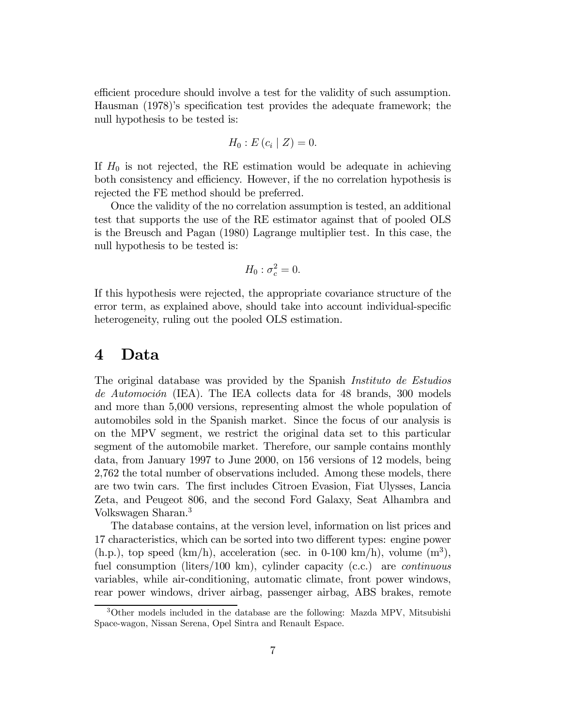efficient procedure should involve a test for the validity of such assumption. Hausman (1978)'s specification test provides the adequate framework; the null hypothesis to be tested is:

$$
H_0: E(c_i | Z) = 0.
$$

If  $H_0$  is not rejected, the RE estimation would be adequate in achieving both consistency and efficiency. However, if the no correlation hypothesis is rejected the FE method should be preferred.

Once the validity of the no correlation assumption is tested, an additional test that supports the use of the RE estimator against that of pooled OLS is the Breusch and Pagan (1980) Lagrange multiplier test. In this case, the null hypothesis to be tested is:

$$
H_0: \sigma_c^2 = 0.
$$

If this hypothesis were rejected, the appropriate covariance structure of the error term, as explained above, should take into account individual-specific heterogeneity, ruling out the pooled OLS estimation.

#### 4 Data

The original database was provided by the Spanish Instituto de Estudios de Automoción (IEA). The IEA collects data for 48 brands, 300 models and more than 5,000 versions, representing almost the whole population of automobiles sold in the Spanish market. Since the focus of our analysis is on the MPV segment, we restrict the original data set to this particular segment of the automobile market. Therefore, our sample contains monthly data, from January 1997 to June 2000, on 156 versions of 12 models, being 2,762 the total number of observations included. Among these models, there are two twin cars. The first includes Citroen Evasion, Fiat Ulysses, Lancia Zeta, and Peugeot 806, and the second Ford Galaxy, Seat Alhambra and Volkswagen Sharan.<sup>3</sup>

The database contains, at the version level, information on list prices and 17 characteristics, which can be sorted into two different types: engine power  $(h.p.),$  top speed  $(km/h),$  acceleration (sec. in 0-100 km/h), volume  $(m^3),$ fuel consumption (liters/100 km), cylinder capacity (c.c.) are continuous variables, while air-conditioning, automatic climate, front power windows, rear power windows, driver airbag, passenger airbag, ABS brakes, remote

<sup>3</sup>Other models included in the database are the following: Mazda MPV, Mitsubishi Space-wagon, Nissan Serena, Opel Sintra and Renault Espace.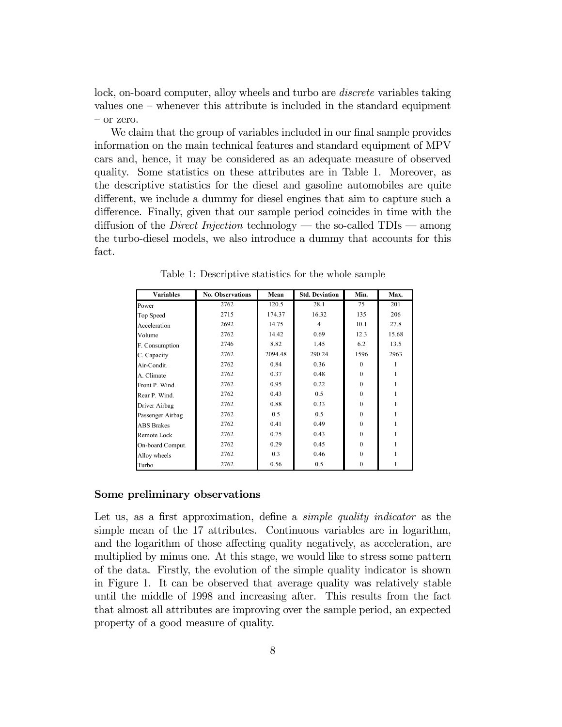lock, on-board computer, alloy wheels and turbo are *discrete* variables taking values one — whenever this attribute is included in the standard equipment — or zero.

We claim that the group of variables included in our final sample provides information on the main technical features and standard equipment of MPV cars and, hence, it may be considered as an adequate measure of observed quality. Some statistics on these attributes are in Table 1. Moreover, as the descriptive statistics for the diesel and gasoline automobiles are quite different, we include a dummy for diesel engines that aim to capture such a difference. Finally, given that our sample period coincides in time with the diffusion of the *Direct Injection* technology — the so-called  $TDIs$  — among the turbo-diesel models, we also introduce a dummy that accounts for this fact.

| <b>Variables</b>  | <b>No. Observations</b> | Mean    | <b>Std. Deviation</b> | Min.     | Max.  |
|-------------------|-------------------------|---------|-----------------------|----------|-------|
| Power             | 2762                    | 120.5   | 28.1                  | 75       | 201   |
| Top Speed         | 2715                    | 174.37  | 16.32                 | 135      | 206   |
| Acceleration      | 2692                    | 14.75   | 4                     | 10.1     | 27.8  |
| Volume            | 2762                    | 14.42   | 0.69                  | 12.3     | 15.68 |
| F. Consumption    | 2746                    | 8.82    | 1.45                  | 6.2      | 13.5  |
| C. Capacity       | 2762                    | 2094.48 | 290.24                | 1596     | 2963  |
| Air-Condit.       | 2762                    | 0.84    | 0.36                  | $\Omega$ |       |
| A. Climate        | 2762                    | 0.37    | 0.48                  | $\Omega$ |       |
| Front P. Wind.    | 2762                    | 0.95    | 0.22                  | $\Omega$ |       |
| Rear P. Wind.     | 2762                    | 0.43    | 0.5                   | $\Omega$ |       |
| Driver Airbag     | 2762                    | 0.88    | 0.33                  | $\theta$ |       |
| Passenger Airbag  | 2762                    | 0.5     | 0.5                   | $\Omega$ |       |
| <b>ABS</b> Brakes | 2762                    | 0.41    | 0.49                  | $\theta$ |       |
| Remote Lock       | 2762                    | 0.75    | 0.43                  | $\theta$ |       |
| On-board Comput.  | 2762                    | 0.29    | 0.45                  | $\theta$ |       |
| Alloy wheels      | 2762                    | 0.3     | 0.46                  | $\theta$ |       |
| Turbo             | 2762                    | 0.56    | 0.5                   | $\theta$ |       |

Table 1: Descriptive statistics for the whole sample

#### Some preliminary observations

Let us, as a first approximation, define a *simple quality indicator* as the simple mean of the 17 attributes. Continuous variables are in logarithm, and the logarithm of those affecting quality negatively, as acceleration, are multiplied by minus one. At this stage, we would like to stress some pattern of the data. Firstly, the evolution of the simple quality indicator is shown in Figure 1. It can be observed that average quality was relatively stable until the middle of 1998 and increasing after. This results from the fact that almost all attributes are improving over the sample period, an expected property of a good measure of quality.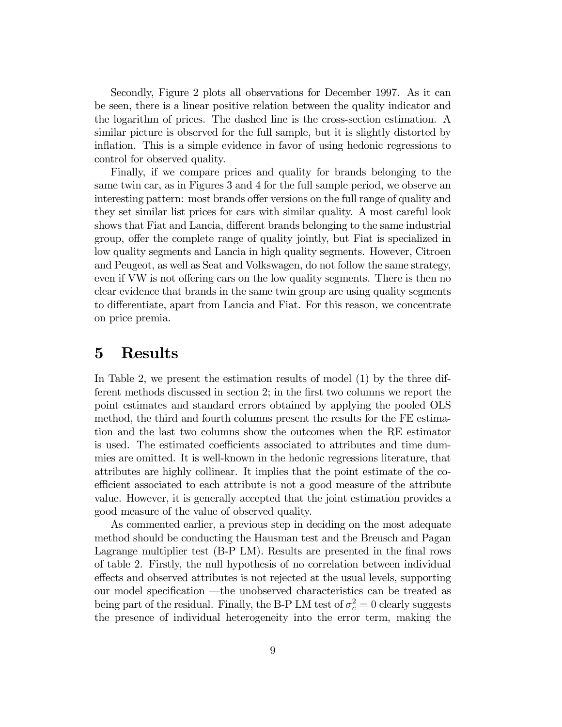Secondly, Figure 2 plots all observations for December 1997. As it can be seen, there is a linear positive relation between the quality indicator and the logarithm of prices. The dashed line is the cross-section estimation. A similar picture is observed for the full sample, but it is slightly distorted by inflation. This is a simple evidence in favor of using hedonic regressions to control for observed quality.

Finally, if we compare prices and quality for brands belonging to the same twin car, as in Figures 3 and 4 for the full sample period, we observe an interesting pattern: most brands offer versions on the full range of quality and they set similar list prices for cars with similar quality. A most careful look shows that Fiat and Lancia, different brands belonging to the same industrial group, offer the complete range of quality jointly, but Fiat is specialized in low quality segments and Lancia in high quality segments. However, Citroen and Peugeot, as well as Seat and Volkswagen, do not follow the same strategy, even if VW is not offering cars on the low quality segments. There is then no clear evidence that brands in the same twin group are using quality segments to differentiate, apart from Lancia and Fiat. For this reason, we concentrate on price premia.

#### 5 Results

In Table 2, we present the estimation results of model (1) by the three different methods discussed in section 2; in the first two columns we report the point estimates and standard errors obtained by applying the pooled OLS method, the third and fourth columns present the results for the FE estimation and the last two columns show the outcomes when the RE estimator is used. The estimated coefficients associated to attributes and time dummies are omitted. It is well-known in the hedonic regressions literature, that attributes are highly collinear. It implies that the point estimate of the coefficient associated to each attribute is not a good measure of the attribute value. However, it is generally accepted that the joint estimation provides a good measure of the value of observed quality.

As commented earlier, a previous step in deciding on the most adequate method should be conducting the Hausman test and the Breusch and Pagan Lagrange multiplier test (B-P LM). Results are presented in the final rows of table 2. Firstly, the null hypothesis of no correlation between individual effects and observed attributes is not rejected at the usual levels, supporting our model specification –the unobserved characteristics can be treated as being part of the residual. Finally, the B-P LM test of  $\sigma_c^2 = 0$  clearly suggests the presence of individual heterogeneity into the error term, making the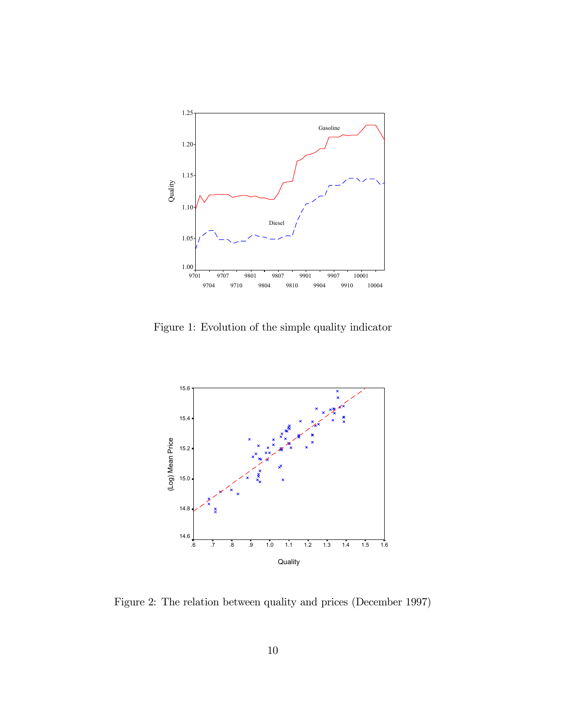

Figure 1: Evolution of the simple quality indicator



Figure 2: The relation between quality and prices (December 1997)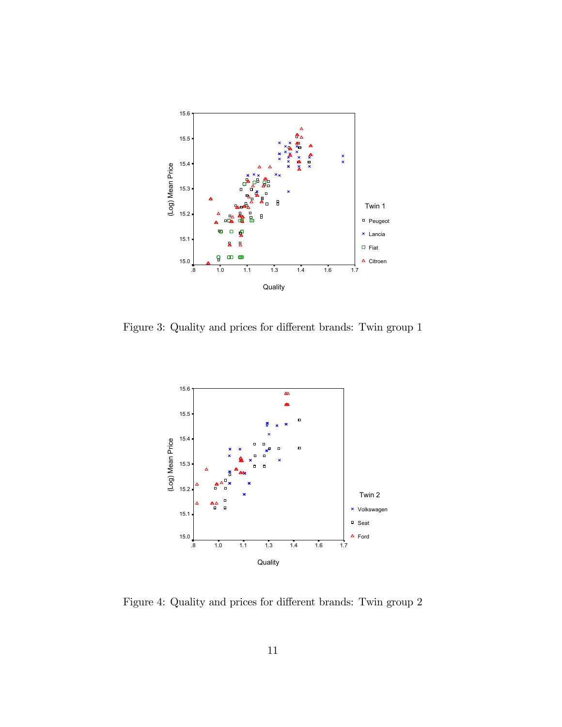

Figure 3: Quality and prices for different brands: Twin group 1



Figure 4: Quality and prices for different brands: Twin group 2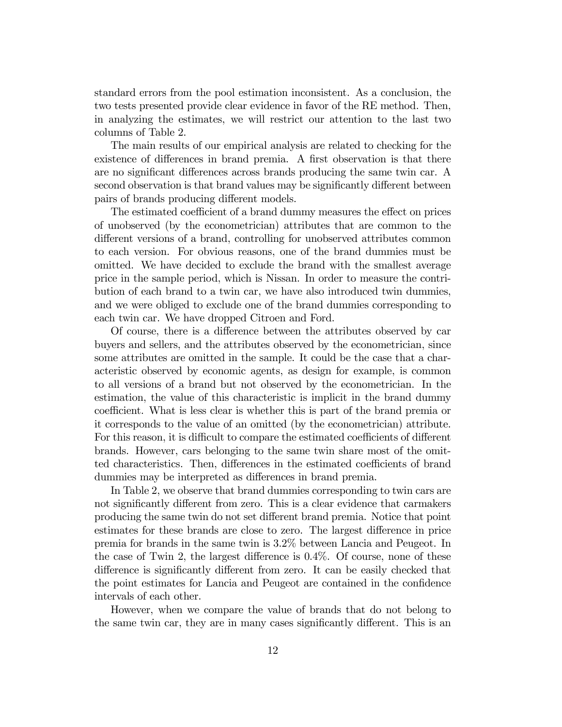standard errors from the pool estimation inconsistent. As a conclusion, the two tests presented provide clear evidence in favor of the RE method. Then, in analyzing the estimates, we will restrict our attention to the last two columns of Table 2.

The main results of our empirical analysis are related to checking for the existence of differences in brand premia. A first observation is that there are no significant differences across brands producing the same twin car. A second observation is that brand values may be significantly different between pairs of brands producing different models.

The estimated coefficient of a brand dummy measures the effect on prices of unobserved (by the econometrician) attributes that are common to the different versions of a brand, controlling for unobserved attributes common to each version. For obvious reasons, one of the brand dummies must be omitted. We have decided to exclude the brand with the smallest average price in the sample period, which is Nissan. In order to measure the contribution of each brand to a twin car, we have also introduced twin dummies, and we were obliged to exclude one of the brand dummies corresponding to each twin car. We have dropped Citroen and Ford.

Of course, there is a difference between the attributes observed by car buyers and sellers, and the attributes observed by the econometrician, since some attributes are omitted in the sample. It could be the case that a characteristic observed by economic agents, as design for example, is common to all versions of a brand but not observed by the econometrician. In the estimation, the value of this characteristic is implicit in the brand dummy coefficient. What is less clear is whether this is part of the brand premia or it corresponds to the value of an omitted (by the econometrician) attribute. For this reason, it is difficult to compare the estimated coefficients of different brands. However, cars belonging to the same twin share most of the omitted characteristics. Then, differences in the estimated coefficients of brand dummies may be interpreted as differences in brand premia.

In Table 2, we observe that brand dummies corresponding to twin cars are not significantly different from zero. This is a clear evidence that carmakers producing the same twin do not set different brand premia. Notice that point estimates for these brands are close to zero. The largest difference in price premia for brands in the same twin is 3.2% between Lancia and Peugeot. In the case of Twin 2, the largest difference is 0.4%. Of course, none of these difference is significantly different from zero. It can be easily checked that the point estimates for Lancia and Peugeot are contained in the confidence intervals of each other.

However, when we compare the value of brands that do not belong to the same twin car, they are in many cases significantly different. This is an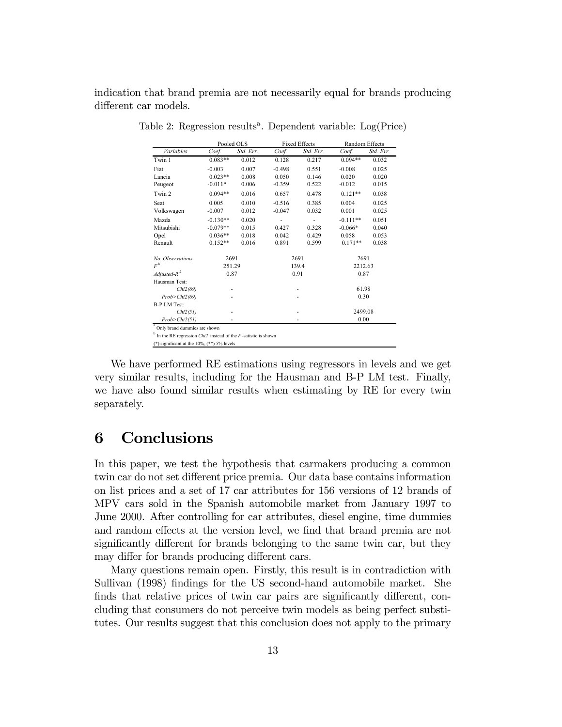indication that brand premia are not necessarily equal for brands producing different car models.

|                                                                            | Pooled OLS |           | <b>Fixed Effects</b> |           | Random Effects |           |  |  |  |
|----------------------------------------------------------------------------|------------|-----------|----------------------|-----------|----------------|-----------|--|--|--|
| Variables                                                                  | Coef.      | Std. Err. | Coef.                | Std. Err. | Coef.          | Std. Err. |  |  |  |
| Twin 1                                                                     | $0.083**$  | 0.012     | 0.128                | 0.217     | $0.094**$      | 0.032     |  |  |  |
| Fiat                                                                       | $-0.003$   | 0.007     | $-0.498$             | 0.551     | $-0.008$       | 0.025     |  |  |  |
| Lancia                                                                     | $0.023**$  | 0.008     | 0.050                | 0.146     | 0.020          | 0.020     |  |  |  |
| Peugeot                                                                    | $-0.011*$  | 0.006     | $-0.359$             | 0.522     | $-0.012$       | 0.015     |  |  |  |
| Twin 2                                                                     | $0.094**$  | 0.016     | 0.657                | 0.478     | $0.121**$      | 0.038     |  |  |  |
| Seat                                                                       | 0.005      | 0.010     | $-0.516$             | 0.385     | 0.004          | 0.025     |  |  |  |
| Volkswagen                                                                 | $-0.007$   | 0.012     | $-0.047$             | 0.032     | 0.001          | 0.025     |  |  |  |
| Mazda                                                                      | $-0.130**$ | 0.020     |                      |           | $-0.111**$     | 0.051     |  |  |  |
| Mitsubishi                                                                 | $-0.079**$ | 0.015     | 0.427                | 0.328     | $-0.066*$      | 0.040     |  |  |  |
| Opel                                                                       | $0.036**$  | 0.018     | 0.042                | 0.429     | 0.058          | 0.053     |  |  |  |
| Renault                                                                    | $0.152**$  | 0.016     | 0.891                | 0.599     | $0.171**$      | 0.038     |  |  |  |
| No. Observations                                                           | 2691       |           | 2691                 |           | 2691           |           |  |  |  |
| $F^{\text{b}}$                                                             | 251.29     |           | 139.4                |           | 2212.63        |           |  |  |  |
| Adjusted- $R^2$                                                            | 0.87       |           | 0.91                 |           | 0.87           |           |  |  |  |
| Hausman Test:                                                              |            |           |                      |           |                |           |  |  |  |
| Chi2(69)                                                                   |            |           |                      |           | 61.98          |           |  |  |  |
| Prob > Chi2(69)                                                            |            |           |                      |           | 0.30           |           |  |  |  |
| <b>B-P LM Test:</b>                                                        |            |           |                      |           |                |           |  |  |  |
| Chi2(51)                                                                   |            |           |                      |           | 2499.08        |           |  |  |  |
| Prob > Chi2(51)                                                            |            |           |                      |           | 0.00           |           |  |  |  |
| <sup>a</sup> Only brand dummies are shown                                  |            |           |                      |           |                |           |  |  |  |
| $b$ In the RE regression <i>Chi2</i> instead of the $F$ -satistic is shown |            |           |                      |           |                |           |  |  |  |
| (*) significant at the $10\%$ , (**) $5\%$ levels                          |            |           |                      |           |                |           |  |  |  |

Table 2: Regression results<sup>a</sup>. Dependent variable:  $Log(Price)$ 

We have performed RE estimations using regressors in levels and we get very similar results, including for the Hausman and B-P LM test. Finally, we have also found similar results when estimating by RE for every twin separately.

### 6 Conclusions

In this paper, we test the hypothesis that carmakers producing a common twin car do not set different price premia. Our data base contains information on list prices and a set of 17 car attributes for 156 versions of 12 brands of MPV cars sold in the Spanish automobile market from January 1997 to June 2000. After controlling for car attributes, diesel engine, time dummies and random effects at the version level, we find that brand premia are not significantly different for brands belonging to the same twin car, but they may differ for brands producing different cars.

Many questions remain open. Firstly, this result is in contradiction with Sullivan (1998) findings for the US second-hand automobile market. She finds that relative prices of twin car pairs are significantly different, concluding that consumers do not perceive twin models as being perfect substitutes. Our results suggest that this conclusion does not apply to the primary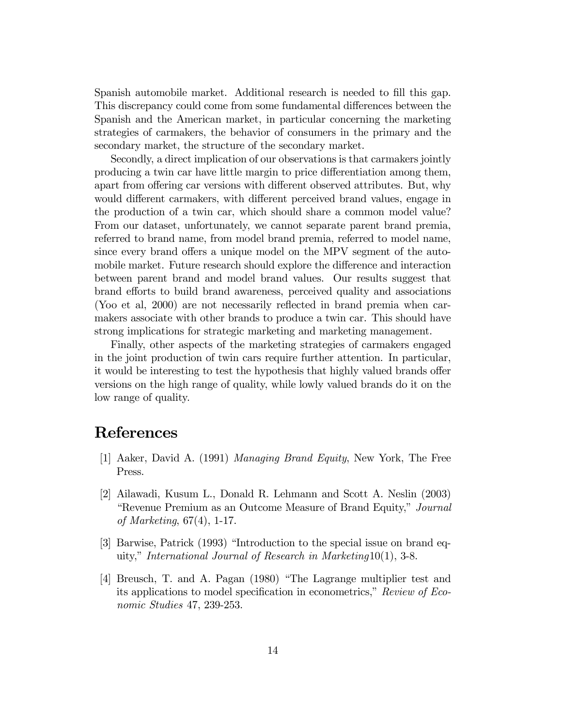Spanish automobile market. Additional research is needed to fill this gap. This discrepancy could come from some fundamental differences between the Spanish and the American market, in particular concerning the marketing strategies of carmakers, the behavior of consumers in the primary and the secondary market, the structure of the secondary market.

Secondly, a direct implication of our observations is that carmakers jointly producing a twin car have little margin to price differentiation among them, apart from offering car versions with different observed attributes. But, why would different carmakers, with different perceived brand values, engage in the production of a twin car, which should share a common model value? From our dataset, unfortunately, we cannot separate parent brand premia, referred to brand name, from model brand premia, referred to model name, since every brand offers a unique model on the MPV segment of the automobile market. Future research should explore the difference and interaction between parent brand and model brand values. Our results suggest that brand efforts to build brand awareness, perceived quality and associations (Yoo et al, 2000) are not necessarily reflected in brand premia when carmakers associate with other brands to produce a twin car. This should have strong implications for strategic marketing and marketing management.

Finally, other aspects of the marketing strategies of carmakers engaged in the joint production of twin cars require further attention. In particular, it would be interesting to test the hypothesis that highly valued brands offer versions on the high range of quality, while lowly valued brands do it on the low range of quality.

### References

- [1] Aaker, David A. (1991) Managing Brand Equity, New York, The Free Press.
- [2] Ailawadi, Kusum L., Donald R. Lehmann and Scott A. Neslin (2003) "Revenue Premium as an Outcome Measure of Brand Equity," Journal of Marketing, 67(4), 1-17.
- [3] Barwise, Patrick (1993) "Introduction to the special issue on brand equity," International Journal of Research in Marketing10(1), 3-8.
- [4] Breusch, T. and A. Pagan (1980) "The Lagrange multiplier test and its applications to model specification in econometrics," Review of Economic Studies 47, 239-253.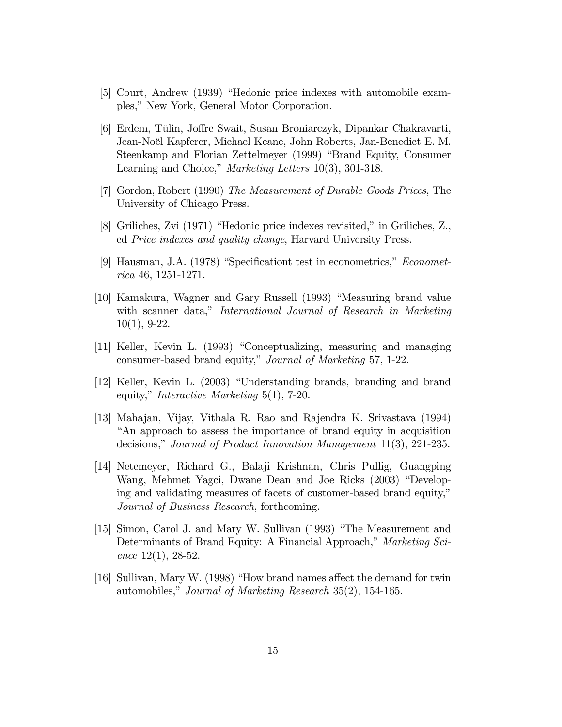- [5] Court, Andrew (1939) "Hedonic price indexes with automobile examples," New York, General Motor Corporation.
- [6] Erdem, Tülin, Joffre Swait, Susan Broniarczyk, Dipankar Chakravarti, Jean-Noël Kapferer, Michael Keane, John Roberts, Jan-Benedict E. M. Steenkamp and Florian Zettelmeyer (1999) "Brand Equity, Consumer Learning and Choice," Marketing Letters 10(3), 301-318.
- [7] Gordon, Robert (1990) The Measurement of Durable Goods Prices, The University of Chicago Press.
- [8] Griliches, Zvi (1971) "Hedonic price indexes revisited," in Griliches, Z., ed Price indexes and quality change, Harvard University Press.
- [9] Hausman, J.A. (1978) "Specificationt test in econometrics," Econometrica 46, 1251-1271.
- [10] Kamakura, Wagner and Gary Russell (1993) "Measuring brand value with scanner data," International Journal of Research in Marketing 10(1), 9-22.
- [11] Keller, Kevin L. (1993) "Conceptualizing, measuring and managing consumer-based brand equity," Journal of Marketing 57, 1-22.
- [12] Keller, Kevin L. (2003) "Understanding brands, branding and brand equity," Interactive Marketing 5(1), 7-20.
- [13] Mahajan, Vijay, Vithala R. Rao and Rajendra K. Srivastava (1994) "An approach to assess the importance of brand equity in acquisition decisions," Journal of Product Innovation Management 11(3), 221-235.
- [14] Netemeyer, Richard G., Balaji Krishnan, Chris Pullig, Guangping Wang, Mehmet Yagci, Dwane Dean and Joe Ricks (2003) "Developing and validating measures of facets of customer-based brand equity," Journal of Business Research, forthcoming.
- [15] Simon, Carol J. and Mary W. Sullivan (1993) "The Measurement and Determinants of Brand Equity: A Financial Approach," Marketing Science  $12(1)$ , 28-52.
- [16] Sullivan, Mary W. (1998) "How brand names affect the demand for twin automobiles," Journal of Marketing Research 35(2), 154-165.